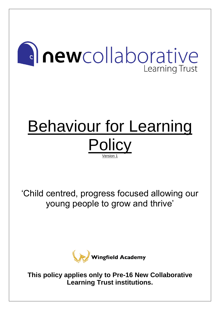# **Inewcollaborative** Learning Trust

# Behaviour for Learning **Policy** Version 1

'Child centred, progress focused allowing our young people to grow and thrive'



**This policy applies only to Pre-16 New Collaborative Learning Trust institutions.**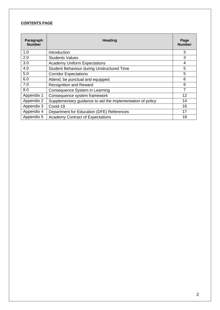#### **CONTENTS PAGE**

| Paragraph<br><b>Number</b> | Heading                                                    |    |  |  |
|----------------------------|------------------------------------------------------------|----|--|--|
| 1.0                        | Introduction                                               | 3  |  |  |
| 2.0                        | <b>Students Values</b>                                     | 3  |  |  |
| 3.0                        | <b>Academy Uniform Expectations</b>                        | 4  |  |  |
| 4.0                        | <b>Student Behaviour during Unstructured Time</b>          | 5  |  |  |
| 5.0                        | <b>Corridor Expectations</b>                               | 5  |  |  |
| 6.0                        | Attend, be punctual and equipped                           | 6  |  |  |
| 7.0                        | <b>Recognition and Reward</b>                              | 6  |  |  |
| 8.0                        | Consequence System in Learning                             | 7  |  |  |
| Appendix 1                 | Consequence system framework                               | 12 |  |  |
| Appendix 2                 | Supplementary guidance to aid the implementation of policy | 14 |  |  |
| Appendix 3                 | Covid-19                                                   | 16 |  |  |
| Appendix 4                 | Department for Education (DFE) References                  | 17 |  |  |
| Appendix 5                 | <b>Academy Contract of Expectations</b>                    | 18 |  |  |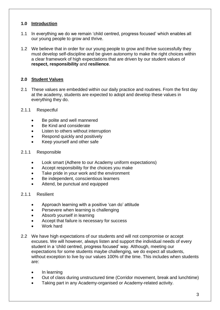#### **1.0 Introduction**

- 1.1 In everything we do we remain 'child centred, progress focused' which enables all our young people to grow and thrive.
- 1.2 We believe that in order for our young people to grow and thrive successfully they must develop self-discipline and be given autonomy to make the right choices within a clear framework of high expectations that are driven by our student values of **respect, responsibility** and **resilience**.

# **2.0 Student Values**

- 2.1 These values are embedded within our daily practice and routines. From the first day at the academy, students are expected to adopt and develop these values in everything they do.
- 2.1.1 Respectful
	- Be polite and well mannered
	- Be Kind and considerate
	- Listen to others without interruption
	- Respond quickly and positively
	- Keep vourself and other safe
- 2.1.1 Responsible
	- Look smart (Adhere to our Academy uniform expectations)
	- Accept responsibility for the choices you make
	- Take pride in your work and the environment
	- Be independent, conscientious learners
	- Attend, be punctual and equipped
- 2.1.1 Resilient
	- Approach learning with a positive 'can do' attitude
	- Persevere when learning is challenging
	- Absorb yourself in learning
	- Accept that failure is necessary for success
	- Work hard
- 2.2 We have high expectations of our students and will not compromise or accept excuses. We will however, always listen and support the individual needs of every student in a 'child centred, progress focused' way. Although, meeting our expectations for some students maybe challenging, we do expect all students, without exception to live by our values 100% of the time. This includes when students are:
	- In learning
	- Out of class during unstructured time (Corridor movement, break and lunchtime)
	- Taking part in any Academy-organised or Academy-related activity.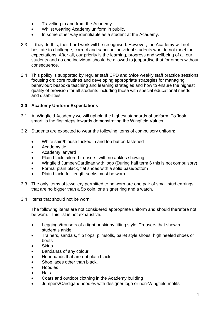- Travelling to and from the Academy.
- Whilst wearing Academy uniform in public.
- In some other way identifiable as a student at the Academy.
- 2.3 If they do this, their hard work will be recognised. However, the Academy will not hesitate to challenge, correct and sanction individual students who do not meet the expectations. After all, our priority is the learning, progress and wellbeing of all our students and no one individual should be allowed to jeopardise that for others without consequence.
- 2.4 This policy is supported by regular staff CPD and twice weekly staff practice sessions focusing on: core routines and developing appropriate strategies for managing behaviour; bespoke teaching and learning strategies and how to ensure the highest quality of provision for all students including those with special educational needs and disabilities.

#### **3.0 Academy Uniform Expectations**

- 3.1 At Wingfield Academy we will uphold the highest standards of uniform. To 'look smart' is the first steps towards demonstrating the Wingfield Values.
- 3.2 Students are expected to wear the following items of compulsory uniform:
	- White shirt/blouse tucked in and top button fastened
	- Academy tie
	- Academy lanyard
	- Plain black tailored trousers, with no ankles showing
	- Wingfield Jumper/Cardigan with logo (During half term 6 this is not compulsory)
	- Formal plain black, flat shoes with a solid base/bottom
	- Plain black, full length socks must be worn
- 3.3 The only items of jewellery permitted to be worn are one pair of small stud earrings that are no bigger than a 5p coin, one signet ring and a watch.
- 3.4 Items that should not be worn:

The following items are not considered appropriate uniform and should therefore not be worn. This list is not exhaustive.

- Leggings/trousers of a tight or skinny fitting style. Trousers that show a student's ankle
- Trainers, sandals, flip flops, plimsolls, ballet style shoes, high heeled shoes or boots
- Skirts
- Bandanas of any colour
- Headbands that are not plain black
- Shoe laces other than black.
- Hoodies
- Hats
- Coats and outdoor clothing in the Academy building
- Jumpers/Cardigan/ hoodies with designer logo or non-Wingfield motifs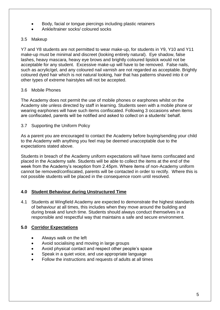- Body, facial or tongue piercings including plastic retainers
- Ankle/trainer socks/ coloured socks

# 3.5 Makeup

Y7 and Y8 students are not permitted to wear make-up, for students in Y9, Y10 and Y11 make-up must be minimal and discreet (looking entirely natural). Eye shadow, false lashes, heavy mascara, heavy eye brows and brightly coloured lipstick would not be acceptable for any student. Excessive make-up will have to be removed. False nails, such as acrylic/gel, and any coloured nail varnish are not regarded as acceptable. Brightly coloured dyed hair which is not natural looking, hair that has patterns shaved into it or other types of extreme hairstyles will not be accepted.

# 3.6 Mobile Phones

The Academy does not permit the use of mobile phones or earphones whilst on the Academy site unless directed by staff in learning. Students seen with a mobile phone or wearing earphones will have such items confiscated. Following 3 occasions when items are confiscated, parents will be notified and asked to collect on a students' behalf.

# 3.7 Supporting the Uniform Policy

As a parent you are encouraged to contact the Academy before buying/sending your child to the Academy with anything you feel may be deemed unacceptable due to the expectations stated above.

Students in breach of the Academy uniform expectations will have items confiscated and placed in the Academy safe. Students will be able to collect the items at the end of the week from the Academy's reception from 2.45pm. Where items of non-Academy uniform cannot be removed/confiscated, parents will be contacted in order to rectify. Where this is not possible students will be placed in the consequence room until resolved.

# **4.0 Student Behaviour during Unstructured Time**

4.1 Students at Wingfield Academy are expected to demonstrate the highest standards of behaviour at all times, this includes when they move around the building and during break and lunch time. Students should always conduct themselves in a responsible and respectful way that maintains a safe and secure environment.

# **5.0 Corridor Expectations**

- Always walk on the left
- Avoid socialising and moving in large groups
- Avoid physical contact and respect other people's space
- Speak in a quiet voice, and use appropriate language
- Follow the instructions and requests of adults at all times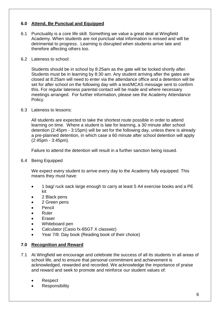#### **6.0 Attend, Be Punctual and Equipped**

- 6.1 Punctuality is a core life skill. Something we value a great deal at Wingfield Academy. When students are not punctual vital information is missed and will be detrimental to progress. Learning is disrupted when students arrive late and therefore affecting others too.
- 6.2 Lateness to school:

Students should be in school by 8:25am as the gate will be locked shortly after. Students must be in learning by 8:30 am. Any student arriving after the gates are closed at 8:25am will need to enter via the attendance office and a detention will be set for after school on the following day with a text/MCAS message sent to confirm this. For regular lateness parental contact will be made and where necessary meetings arranged. For further information, please see the Academy Attendance Policy.

6.3 Lateness to lessons:

All students are expected to take the shortest route possible in order to attend learning on time. Where a student is late for learning, a 30 minute after school detention (2:45pm - 3:15pm) will be set for the following day, unless there is already a pre-planned detention, in which case a 60 minute after school detention will apply (2:45pm - 3:45pm).

Failure to attend the detention will result in a further sanction being issued.

6.4 Being Equipped

We expect every student to arrive every day to the Academy fully equipped. This means they must have:

- 1 bag/ ruck sack large enough to carry at least 5 A4 exercise books and a PE kit
- 2 Black pens
- 2 Green pens
- **Pencil**
- Ruler
- **Eraser**
- Whiteboard pen
- Calculator (Casio fx-85GT X classwiz)
- Year 7/8: Day book (Reading book of their choice)

#### **7.0 Recognition and Reward**

- 7.1 At Wingfield we encourage and celebrate the success of all its students in all areas of school life, and to ensure that personal commitment and achievement is acknowledged, rewarded and recorded. We acknowledge the importance of praise and reward and seek to promote and reinforce our student values of:
	- Respect
	- **Responsibility**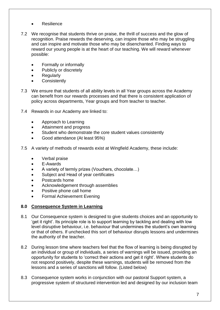- Resilience
- 7.2 We recognise that students thrive on praise, the thrill of success and the glow of recognition. Praise rewards the deserving, can inspire those who may be struggling and can inspire and motivate those who may be disenchanted. Finding ways to reward our young people is at the heart of our teaching. We will reward whenever possible:
	- Formally or informally
	- Publicly or discretely
	- **Regularly**
	- **Consistently**
- 7.3 We ensure that students of all ability levels in all Year groups across the Academy can benefit from our rewards processes and that there is consistent application of policy across departments, Year groups and from teacher to teacher.
- 7.4 Rewards in our Academy are linked to:
	- Approach to Learning
	- Attainment and progress
	- Student who demonstrate the core student values consistently
	- Good attendance (At least 95%)
- 7.5 A variety of methods of rewards exist at Wingfield Academy, these include:
	- Verbal praise
	- E-Awards
	- A variety of termly prizes (Vouchers, chocolate…)
	- Subject and Head of year certificates
	- Postcards home
	- Acknowledgement through assemblies
	- Positive phone call home
	- Formal Achievement Evening

# **8.0 Consequence System in Learning**

- 8.1 Our Consequence system is designed to give students choices and an opportunity to 'get it right'. Its principle role is to support learning by tackling and dealing with low level disruptive behaviour, i.e. behaviour that undermines the student's own learning or that of others. If unchecked this sort of behaviour disrupts lessons and undermines the authority of the teacher.
- 8.2 During lesson time where teachers feel that the flow of learning is being disrupted by an individual or group of individuals, a series of warnings will be issued, providing an opportunity for students to 'correct their actions and get it right'. Where students do not respond positively, despite these warnings, students will be removed from the lessons and a series of sanctions will follow. (Listed below)
- 8.3 Consequence system works in conjunction with our pastoral Support system, a progressive system of structured intervention led and designed by our inclusion team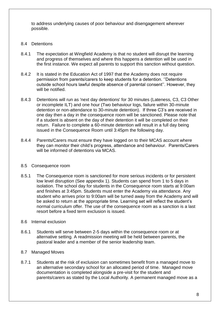to address underlying causes of poor behaviour and disengagement wherever possible.

#### 8.4 Detentions

- 8.4.1 The expectation at Wingfield Academy is that no student will disrupt the learning and progress of themselves and where this happens a detention will be used in the first instance. We expect all parents to support this sanction without question.
- 8.4.2 It is stated in the Education Act of 1997 that the Academy does not require permission from parents/carers to keep students for a detention. ''Detentions outside school hours lawful despite absence of parental consent''. However, they will be notified.
- 8.4.3 Detentions will run as 'next day detentions' for 30 minutes (Lateness, C3, C3 Other or incomplete ILT) and one hour (Two behaviour logs, failure within 30-minute detention or non-attendance to 30-minute detention). If three C3's are received in one day then a day in the consequence room will be sanctioned. Please note that if a student is absent on the day of their detention it will be completed on their return. Failure to complete a 60-minute detention will result in a full day being issued in the Consequence Room until 3:45pm the following day.
- 8.4.4 Parents/Carers must ensure they have logged on to their MCAS account where they can monitor their child's progress, attendance and behaviour. Parents/Carers will be informed of detentions via MCAS.

#### 8.5 Consequence room

- 8.5.1 The Consequence room is sanctioned for more serious incidents or for persistent low level disruption (See appendix 1). Students can spend from 1 to 5 days in isolation. The school day for students in the Consequence room starts at 9:00am and finishes at 3:45pm. Students must enter the Academy via attendance. Any student who arrives prior to 9:00am will be turned away from the Academy and will be asked to return at the appropriate time. Learning set will reflect the student's normal curriculum offer. The use of the consequence room as a sanction is a last resort before a fixed term exclusion is issued.
- 8.6 Internal exclusion
- 8.6.1 Students will serve between 2-5 days within the consequence room or at alternative setting. A readmission meeting will be held between parents, the pastoral leader and a member of the senior leadership team.

#### 8.7 Managed Moves

8.7.1 Students at the risk of exclusion can sometimes benefit from a managed move to an alternative secondary school for an allocated period of time. Managed move documentation is completed alongside a pre-visit for the student and parents/carers as stated by the Local Authority. A permanent managed move as a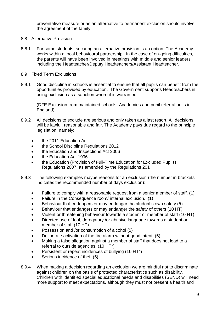preventative measure or as an alternative to permanent exclusion should involve the agreement of the family.

- 8.8 Alternative Provision
- 8.8.1 For some students, securing an alternative provision is an option. The Academy works within a local behavioural partnership. In the case of on-going difficulties, the parents will have been involved in meetings with middle and senior leaders, including the Headteacher/Deputy Headteachers/Assistant Headteacher.
- 8.9 Fixed Term Exclusions
- 8.9.1 Good discipline in schools is essential to ensure that all pupils can benefit from the opportunities provided by education. The Government supports Headteachers in using exclusion as a sanction where it is warranted'.

(DFE Exclusion from maintained schools, Academies and pupil referral units in England)

- 8.9.2 All decisions to exclude are serious and only taken as a last resort. All decisions will be lawful, reasonable and fair. The Academy pays due regard to the principle legislation, namely:
	- the 2011 Education Act
	- the School Discipline Regulations 2012
	- the Education and Inspections Act 2006
	- the Education Act 1996
	- the Education (Provision of Full-Time Education for Excluded Pupils) Regulations 2007, as amended by the Regulations 201
- 8.9.3 The following examples maybe reasons for an exclusion (the number in brackets indicates the recommended number of days exclusion):
	- Failure to comply with a reasonable request from a senior member of staff. (1)
	- Failure in the Consequence room/ internal exclusion. (1)
	- Behaviour that endangers or may endanger the student's own safety (5)
	- Behaviour that endangers or may endanger the safety of others (10 HT)
	- Violent or threatening behaviour towards a student or member of staff (10 HT)
	- Directed use of foul, derogatory /or abusive language towards a student or member of staff (10 HT)
	- Possession and /or consumption of alcohol (5)
	- Deliberate activation of the fire alarm without good intent. (5)
	- Making a false allegation against a member of staff that does not lead to a referral to outside agencies. (10 HT\*)
	- Persistent or repeat incidences of bullying (10 HT\*)
	- Serious incidence of theft (5)
- 8.9.4 When making a decision regarding an exclusion we are mindful not to discriminate against children on the basis of protected characteristics such as disability. Children with identified special educational needs and disabilities (SEND) will need more support to meet expectations, although they must not present a health and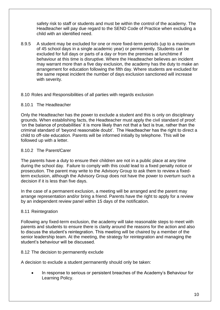safety risk to staff or students and must be within the control of the academy. The Headteacher will pay due regard to the SEND Code of Practice when excluding a child with an identified need.

8.9.5 A student may be excluded for one or more fixed-term periods (up to a maximum of 45 school days in a single academic year) or permanently. Students can be excluded for full days or parts of a day or from the premises at lunchtime if behaviour at this time is disruptive. Where the Headteacher believes an incident may warrant more than a five day exclusion, the academy has the duty to make an arrangement for education following the fifth day. Where students are excluded for the same repeat incident the number of days exclusion sanctioned will increase with severity.

#### 8.10 Roles and Responsibilities of all parties with regards exclusion

#### 8.10.1 The Headteacher

Only the Headteacher has the power to exclude a student and this is only on disciplinary grounds. When establishing facts, the Headteacher must apply the civil standard of proof: 'on the balance of probabilities' it is more likely than not that a fact is true, rather than the criminal standard of 'beyond reasonable doubt'. The Headteacher has the right to direct a child to off-site education. Parents will be informed initially by telephone. This will be followed up with a letter.

#### 8.10.2 The Parent/Carer

The parents have a duty to ensure their children are not in a public place at any time during the school day. Failure to comply with this could lead to a fixed penalty notice or prosecution. The parent may write to the Advisory Group to ask them to review a fixedterm exclusion, although the Advisory Group does not have the power to overturn such a decision if it is less than five days.

In the case of a permanent exclusion, a meeting will be arranged and the parent may arrange representation and/or bring a friend. Parents have the right to apply for a review by an independent review panel within 15 days of the notification.

#### 8.11 Reintegration

Following any fixed-term exclusion, the academy will take reasonable steps to meet with parents and students to ensure there is clarity around the reasons for the action and also to discuss the student's reintegration. This meeting will be chaired by a member of the senior leadership team. At the meeting, the strategy for reintegration and managing the student's behaviour will be discussed.

#### 8.12 The decision to permanently exclude

A decision to exclude a student permanently should only be taken:

• In response to serious or persistent breaches of the Academy's Behaviour for Learning Policy.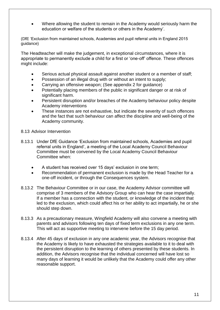• Where allowing the student to remain in the Academy would seriously harm the education or welfare of the students or others in the Academy'.

(DfE 'Exclusion from maintained schools, Academies and pupil referral units in England 2015 guidance)

The Headteacher will make the judgement, in exceptional circumstances, where it is appropriate to permanently exclude a child for a first or 'one-off' offence. These offences might include:

- Serious actual physical assault against another student or a member of staff;
- Possession of an illegal drug with or without an intent to supply:
- Carrying an offensive weapon; (See appendix 2 for guidance)
- Potentially placing members of the public in significant danger or at risk of significant harm.
- Persistent disruption and/or breaches of the Academy behaviour policy despite Academy interventions
- These instances are not exhaustive, but indicate the severity of such offences and the fact that such behaviour can affect the discipline and well-being of the Academy community.
- 8.13 Advisor Intervention
- 8.13.1 Under DfE Guidance 'Exclusion from maintained schools, Academies and pupil referral units in England', a meeting of the Local Academy Council Behaviour Committee must be convened by the Local Academy Council Behaviour Committee when:
	- A student has received over 15 days' exclusion in one term;
	- Recommendation of permanent exclusion is made by the Head Teacher for a one-off incident, or through the Consequences system.
- 8.13.2 The Behaviour Committee or in our case, the Academy Advisor committee will comprise of 3 members of the Advisory Group who can hear the case impartially. If a member has a connection with the student, or knowledge of the incident that led to the exclusion, which could affect his or her ability to act impartially, he or she should step down.
- 8.13.3 As a precautionary measure, Wingfield Academy will also convene a meeting with parents and advisors following ten days of fixed term exclusions in any one term. This will act as supportive meeting to intervene before the 15 day period.
- 8.13.4 After 45 days of exclusion in any one academic year, the Advisors recognise that the Academy is likely to have exhausted the strategies available to it to deal with the persistent disruption to the learning of others presented by these students. In addition, the Advisors recognise that the individual concerned will have lost so many days of learning it would be unlikely that the Academy could offer any other reasonable support.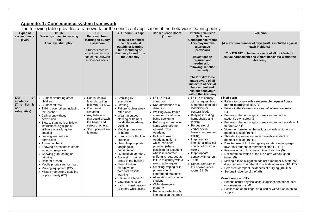#### **Appendix 1: Consequence system framework**

The following table provides a framework for the consistent application of the behaviour learning policy.

| Types of<br>consequence<br>given                               | The following table provided a hamowork for the condiciont application of the bondviour loan intg policy.<br>C1-C2<br>Warnings given in learning<br>for<br>Low level disruption                                                                                                                                                                                                                                                                                                                                                                                    | C <sub>3</sub><br><b>Removed from</b><br>learning to buddy<br>classroom<br>Students receive<br>only 2 warnings or<br>one of the following<br>incidences occur                                           | C3 Other/3 R's slip:<br>For failure to follow<br>the 3 R's whilst<br>outside of learning<br>time including on<br>their way to and from<br>the Academy                                                                                                                                                                                                                                                                                                                                                                                                       | <b>Consequence Room</b><br>(1 day)                                                                                                                                                                                                                                                                                                                                                                                                                                                                                                                                                                                                   | <b>Internal Exclusion</b><br>$(2 - 5)$ days<br><b>Consequence room:</b><br>This may involve<br>alternative<br>provision)<br>(Investigation)<br>required and<br>readmission<br>following sanction<br>served)<br>The DSL/HT to be<br>made aware of all<br>incidents of sexual<br>harassment and<br>violent behaviour<br>within the Academy                                                                                                       | <b>Exclusion</b><br>(A maximum number of days tariff is included against<br>each incident.)<br>The DSL/HT to be made aware of all incidents of<br>sexual harassment and violent behaviour within the<br>Academy                                                                                                                                                                                                                                                                                                                                                                                                                                                                                                                                                                                                                                                                                                                                                                                                                                                                                                                                                               |
|----------------------------------------------------------------|--------------------------------------------------------------------------------------------------------------------------------------------------------------------------------------------------------------------------------------------------------------------------------------------------------------------------------------------------------------------------------------------------------------------------------------------------------------------------------------------------------------------------------------------------------------------|---------------------------------------------------------------------------------------------------------------------------------------------------------------------------------------------------------|-------------------------------------------------------------------------------------------------------------------------------------------------------------------------------------------------------------------------------------------------------------------------------------------------------------------------------------------------------------------------------------------------------------------------------------------------------------------------------------------------------------------------------------------------------------|--------------------------------------------------------------------------------------------------------------------------------------------------------------------------------------------------------------------------------------------------------------------------------------------------------------------------------------------------------------------------------------------------------------------------------------------------------------------------------------------------------------------------------------------------------------------------------------------------------------------------------------|------------------------------------------------------------------------------------------------------------------------------------------------------------------------------------------------------------------------------------------------------------------------------------------------------------------------------------------------------------------------------------------------------------------------------------------------|-------------------------------------------------------------------------------------------------------------------------------------------------------------------------------------------------------------------------------------------------------------------------------------------------------------------------------------------------------------------------------------------------------------------------------------------------------------------------------------------------------------------------------------------------------------------------------------------------------------------------------------------------------------------------------------------------------------------------------------------------------------------------------------------------------------------------------------------------------------------------------------------------------------------------------------------------------------------------------------------------------------------------------------------------------------------------------------------------------------------------------------------------------------------------------|
| List<br>of<br>incidents<br>(This list is<br>not<br>exhaustive) | • Student disturbing other<br>children<br>• Student off task<br>• Talking over others including<br>the teacher<br>• Calling out without<br>permission<br>• Slow to start work or follow<br>instructions e.g signs of<br>stillness or tracking the<br>speaker<br>• Leaving seat without<br>permission<br>• Answering back<br>• Showing disrespect to others<br>including negativity<br>• Chewing gum, eating or<br>drinking.<br>• Uniform breach<br>• Mobile phone seen or heard<br>• Missing equipment (C2)<br>• Missed homework/ deadline<br>or poor quality (C2) | • Continued low<br>level disruption<br>following C1 & C2<br>• Overheard<br>swearing<br>• Any behaviour<br>that could breach<br>the health and<br>safety of others.<br>• *Disruption of live<br>learning | • Smoking by<br>association<br>• Littering<br>• Failure to clear away<br>after lunch<br>• Wearing outdoor<br>clothing or trainers<br>inside the Academy<br>building<br>• Mobile phone seen<br>or heard<br>• 'Hands on' with other<br>students<br>• Using Inappropriate<br>language in<br>conversation<br>• Running on corridors<br>• Accessing 'no go'<br>areas of the building<br>• Being loud and<br>disruptive on<br>corridors despite<br>warning<br>• Failure to attend P6<br>• Lateness to lesson<br>• Lack of consideration<br>to others whilst using | • Failure in C3<br>classroom<br>• Non-attendance to a<br>detention<br>• Walking away from a<br>member of staff when<br>being spoken to<br>• Refusing to hand over<br>items which are not<br>allowed in the<br>Academy<br>• Failure to wear<br>Academy uniform<br>which has been<br>provided (where<br>possible) for a student<br>who is in incorrect<br>uniform is regarded as<br>failure to comply with a<br>reasonable request<br>• Smoking/ vaping or in<br>possession of<br>contraband materials<br>• Altercation with another<br>student<br>• Wilful damage to<br>property<br>• Behaviour which calls<br>into question the good | • Failure to comply<br>with a request from<br>a member of middle<br>leadership or<br>pastoral leader<br>• Bullying including<br>homophobia and<br>racism<br>• Perpetrator of<br>verbal sexual<br>harassment (name<br>calling)<br>• Inappropriate<br>intentional physical<br>contact of a sexual<br>nature<br>• Inappropriate<br>contact with others<br>$\bullet$ Theft<br>• Repeat referrals to<br>the consequence<br>room $(5 \text{ in } 5)$ | <b>Fixed Term</b><br>• Failure to comply with a reasonable request from a<br>senior member of staff. (1)<br>• Failure in the Consequence room/ internal exclusion.<br>(1)<br>• Behaviour that endangers or may endanger the<br>student's own safety (5)<br>• Behaviour that endangers or may endanger the safety of<br>others (10 HT)<br>• Violent or threatening behaviour towards a student or<br>member of staff (10 HT)<br>• Threatening sexual violence towards a student or<br>member of staff (10 HT)<br>• Directed use of foul, derogatory /or abusive language<br>towards a student or member of staff (10 HT)<br>• Possession and /or consumption of alcohol (5)<br>• Deliberate activation of the fire alarm without good<br>intent. $(5)$<br>• Making a false allegation against a member of staff that<br>does not lead to a referral to outside agencies. (10 HT*)<br>• Persistent or repeat incidences of bullying (10 HT*)<br>• Serious incidence of theft (5)<br><b>Consideration of PX</b><br>• Serious actual physical assault against another student<br>or a member of staff:<br>• Possession of an illegal drug with or without an intent to<br>supply; |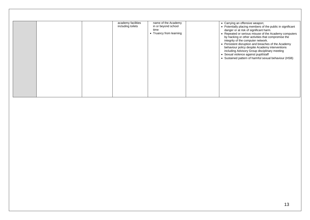|  | academy facilities<br>name of the Academy<br>including toilets<br>in or beyond school<br>time<br>• Truancy from learning | • Carrying an offensive weapon;<br>• Potentially placing members of the public in significant<br>danger or at risk of significant harm.<br>• Repeated or serious misuse of the Academy computers<br>by hacking or other activities that compromise the<br>integrity of the computer network.<br>• Persistent disruption and breaches of the Academy<br>behaviour policy despite Academy interventions<br>including Advisory Group disciplinary meeting<br>• Sexual violence against pupil/staff<br>• Sustained pattern of harmful sexual behaviour (HSB) |
|--|--------------------------------------------------------------------------------------------------------------------------|----------------------------------------------------------------------------------------------------------------------------------------------------------------------------------------------------------------------------------------------------------------------------------------------------------------------------------------------------------------------------------------------------------------------------------------------------------------------------------------------------------------------------------------------------------|
|--|--------------------------------------------------------------------------------------------------------------------------|----------------------------------------------------------------------------------------------------------------------------------------------------------------------------------------------------------------------------------------------------------------------------------------------------------------------------------------------------------------------------------------------------------------------------------------------------------------------------------------------------------------------------------------------------------|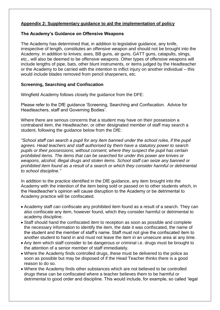# **Appendix 2: Supplementary guidance to aid the implementation of policy**

#### **The Academy's Guidance on Offensive Weapons**

The Academy has determined that, in addition to legislative guidance, any knife, irrespective of length, constitutes an offensive weapon and should not be brought into the Academy. In addition to knives; axes, BB guns, air guns, GATT guns, catapults, slings, etc., will also be deemed to be offensive weapons. Other types of offensive weapons will include lengths of pipe, bats, other blunt instruments, or items judged by the Headteacher or the Academy to be carried with the intention to inflict injury on another individual – this would include blades removed from pencil sharpeners, etc.

#### **Screening, Searching and Confiscation**

Wingfield Academy follows closely the guidance from the DFE:

Please refer to the DfE guidance 'Screening, Searching and Confiscation. Advice for Headteachers, staff and Governing Bodies'.

Where there are serious concerns that a student may have on their possession a contraband item, the Headteacher, or other designated member of staff may search a student, following the guidance below from the DfE:

*"School staff can search a pupil for any item banned under the school rules, if the pupil agrees. Head teachers and staff authorised by them have a statutory power to search pupils or their possessions, without consent, where they suspect the pupil has certain prohibited items. The items that can be searched for under this power are knives or weapons, alcohol, illegal drugs and stolen items. School staff can seize any banned or prohibited item found as a result of a search or which they consider harmful or detrimental to school discipline."* 

In addition to the practice identified in the DfE guidance, any item brought into the Academy with the intention of the item being sold or passed on to other students which, in the Headteacher's opinion will cause disruption to the Academy or be detrimental to Academy practice will be confiscated.

- Academy staff can confiscate any prohibited item found as a result of a search. They can also confiscate any item, however found, which they consider harmful or detrimental to academy discipline.
- Staff should hand the confiscated item to reception as soon as possible and complete the necessary information to identify the item, the date it was confiscated, the name of the student and the member of staff's name. Staff must not give the confiscated item to another student to hand in and must not leave the item in an unsecure area at any time.
- Any item which staff consider to be dangerous or criminal i.e. drugs must be brought to the attention of a senior member of staff immediately.
- Where the Academy finds controlled drugs, these must be delivered to the police as soon as possible but may be disposed of if the Head Teacher thinks there is a good reason to do so.
- Where the Academy finds other substances which are not believed to be controlled drugs these can be confiscated where a teacher believes them to be harmful or detrimental to good order and discipline. This would include, for example, so called 'legal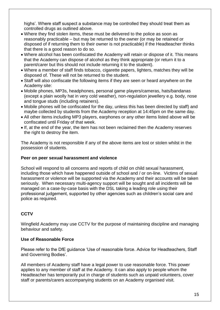highs'. Where staff suspect a substance may be controlled they should treat them as controlled drugs as outlined above.

- Where they find stolen items, these must be delivered to the police as soon as reasonably practicable – but may be returned to the owner (or may be retained or disposed of if returning them to their owner is not practicable) if the Headteacher thinks that there is a good reason to do so.
- Where alcohol has been confiscated the Academy will retain or dispose of it. This means that the Academy can dispose of alcohol as they think appropriate (or return it to a parent/carer but this should not include returning it to the student).
- Where a member of staff finds tobacco, cigarette papers, lighters, matches they will be disposed of. These will not be returned to the student.
- Staff will also confiscate the following items if they are seen or heard anywhere on the Academy site:
- Mobile phones, MP3s, headphones, personal game players/cameras, hats/bandanas (except a plain woolly hat in very cold weather), non-regulation jewellery e.g. body, nose and tongue studs (including retainers).
- Mobile phones will be confiscated for the day, unless this has been directed by staff) and maybe collected by students from the Academy reception at 14:45pm on the same day.
- All other items including MP3 players, earphones or any other items listed above will be confiscated until Friday of that week.
- If, at the end of the year, the item has not been reclaimed then the Academy reserves the right to destroy the item.

The Academy is not responsible if any of the above items are lost or stolen whilst in the possession of students.

#### **Peer on peer sexual harassment and violence**

School will respond to all concerns and reports of child on child sexual harassment, including those which have happened outside of school and / or on-line. Victims of sexual harassment or violence will be supported via the Academy and their accounts will be taken seriously. When necessary multi-agency support will be sought and all incidents will be managed on a case-by-case basis with the DSL taking a leading role using their professional judgement, supported by other agencies such as children's social care and police as required.

# **CCTV**

Wingfield Academy may use CCTV for the purpose of maintaining discipline and managing behaviour and safety.

#### **Use of Reasonable Force**

Please refer to the DfE guidance 'Use of reasonable force. Advice for Headteachers, Staff and Governing Bodies'.

All members of Academy staff have a legal power to use reasonable force. This power applies to any member of staff at the Academy. It can also apply to people whom the Headteacher has temporarily put in charge of students such as unpaid volunteers, cover staff or parents/carers accompanying students on an Academy organised visit.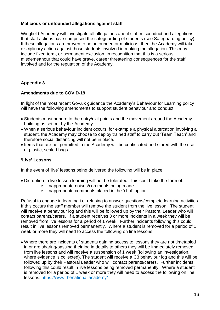#### **Malicious or unfounded allegations against staff**

Wingfield Academy will investigate all allegations about staff misconduct and allegations that staff actions have comprised the safeguarding of students (see Safeguarding policy). If these allegations are proven to be unfounded or malicious, then the Academy will take disciplinary action against those students involved in making the allegation. This may include fixed term, or permanent exclusion, in recognition that this is a serious misdemeanour that could have grave, career threatening consequences for the staff involved and for the reputation of the Academy.

# **Appendix 3**

# **Amendments due to COVID-19**

In light of the most recent Gov.uk guidance the Academy's Behaviour for Learning policy will have the following amendments to support student behaviour and conduct:

- Students must adhere to the entry/exit points and the movement around the Academy building as set out by the Academy
- When a serious behaviour incident occurs, for example a physical altercation involving a student, the Academy may choose to deploy trained staff to carry out 'Team Teach' and therefore social distancing will not be in place.
- Items that are not permitted in the Academy will be confiscated and stored with the use of plastic, sealed bags

#### **'Live' Lessons**

In the event of 'live' lessons being delivered the following will be in place:

- Disruption to live lesson learning will not be tolerated. This could take the form of:
	- o Inappropriate noises/comments being made
	- o Inappropriate comments placed in the 'chat' option.

Refusal to engage in learning i.e. refusing to answer questions/complete learning activities If this occurs the staff member will remove the student from the live lesson. The student will receive a behaviour log and this will be followed up by their Pastoral Leader who will contact parents/carers. If a student receives 3 or more incidents in a week they will be removed from live lessons for a period of 1 week. Further incidents following this could result in live lessons removed permanently. Where a student is removed for a period of 1 week or more they will need to access the following on line lessons:

• Where there are incidents of students gaining access to lessons they are not timetabled in or are sharing/passing their log in details to others they will be immediately removed from live lessons and will receive a suspension of 1 week (following an investigation, where evidence is collected). The student will receive a C3 behaviour log and this will be followed up by their Pastoral Leader who will contact parents/carers. Further incidents following this could result in live lessons being removed permanently. Where a student is removed for a period of 1 week or more they will need to access the following on line lessons: <https://www.thenational.academy/>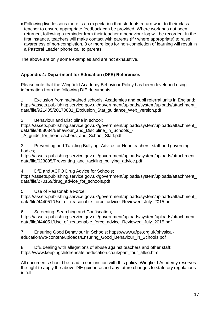• Following live lessons there is an expectation that students return work to their class teacher to ensure appropriate feedback can be provided. Where work has not been returned, following a reminder from their teacher a behaviour log will be recorded. In the first instance, teachers will make contact with parents (if / where appropriate) to raise awareness of non-completion. 3 or more logs for non-completion of learning will result in a Pastoral Leader phone call to parents.

The above are only some examples and are not exhaustive.

# **Appendix 4: Department for Education (DFE) References**

Please note that the Wingfield Academy Behaviour Policy has been developed using information from the following DfE documents:

1. Exclusion from maintained schools, Academies and pupil referral units in England; https://assets.publishing.service.gov.uk/government/uploads/system/uploads/attachment\_ data/file/921405/20170831 Exclusion Stat quidance Web version.pdf

2. Behaviour and Discipline in school:

https://assets.publishing.service.gov.uk/government/uploads/system/uploads/attachment\_ data/file/488034/Behaviour\_and\_Discipline\_in\_Schools\_-A quide for headteachers and School Staff.pdf

3. Preventing and Tackling Bullying. Advice for Headteachers, staff and governing bodies;

https://assets.publishing.service.gov.uk/government/uploads/system/uploads/attachment\_ data/file/623895/Preventing\_and\_tackling\_bullying\_advice.pdf

4. DfE and ACPO Drug Advice for Schools;

https://assets.publishing.service.gov.uk/government/uploads/system/uploads/attachment\_ data/file/270169/drug\_advice\_for\_schools.pdf

5. Use of Reasonable Force;

https://assets.publishing.service.gov.uk/government/uploads/system/uploads/attachment\_ data/file/444051/Use\_of\_reasonable\_force\_advice\_Reviewed\_July\_2015.pdf

6. Screening, Searching and Confiscation;

https://assets.publishing.service.gov.uk/government/uploads/system/uploads/attachment\_ data/file/444051/Use of reasonable force advice Reviewed July 2015.pdf

7. Ensuring Good Behaviour in Schools; https://www.afpe.org.uk/physicaleducation/wp-content/uploads/Ensuring\_Good\_Behaviour\_in\_Schools.pdf

8. DfE dealing with allegations of abuse against teachers and other staff: [https://www.keepingchildrensafeineducation.co.uk/part\\_four\\_alleg.html](https://www.keepingchildrensafeineducation.co.uk/part_four_alleg.html)

All documents should be read in conjunction with this policy. Wingfield Academy reserves the right to apply the above DfE guidance and any future changes to statutory regulations in full.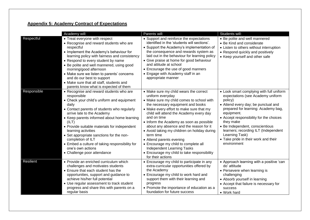# **Appendix 5: Academy Contract of Expectations**

|                  | Academy will:                                                                                                                                                                                                                                                                                                                                                                                                                                                                                    | Parents will:                                                                                                                                                                                                                                                                                                                                                                                                                                                                                                                                                                | Students will:                                                                                                                                                                                                                                                                                                                                                                                   |
|------------------|--------------------------------------------------------------------------------------------------------------------------------------------------------------------------------------------------------------------------------------------------------------------------------------------------------------------------------------------------------------------------------------------------------------------------------------------------------------------------------------------------|------------------------------------------------------------------------------------------------------------------------------------------------------------------------------------------------------------------------------------------------------------------------------------------------------------------------------------------------------------------------------------------------------------------------------------------------------------------------------------------------------------------------------------------------------------------------------|--------------------------------------------------------------------------------------------------------------------------------------------------------------------------------------------------------------------------------------------------------------------------------------------------------------------------------------------------------------------------------------------------|
| Respectful       | • Treat everyone with respect<br>• Recognise and reward students who are<br>respectful<br>• Implement the Academy's behaviour for<br>learning policy with fairness and consistency<br>• Respond to every student by name<br>• Be polite and well mannered, using good<br>morning/good afternoon<br>• Make sure we listen to parents' concerns<br>and do our best to support<br>• Make sure that all staff, students and<br>parents know what is expected of them                                 | • Support and reinforce the expectations<br>identified in the 'students will sections'.<br>• Support the Academy's implementation of<br>the consequence and rewards system as<br>laid out in the behaviour for learning policy<br>• Give praise at home for good behaviour<br>and attitude at school<br>• Encourage the use of good manners<br>• Engage with Academy staff in an<br>appropriate manner                                                                                                                                                                       | • Be polite and well mannered<br>• Be Kind and considerate<br>• Listen to others without interruption<br>• Respond quickly and positively<br>• Keep yourself and other safe                                                                                                                                                                                                                      |
| Responsible      | • Recognise and reward students who are<br>responsible<br>• Check your child's uniform and equipment<br>daily<br>• Contact parents of students who regularly<br>arrive late to the Academy<br>• Keep parents informed about home learning<br>(ILT)<br>• Provide suitable materials for independent<br>learning activities<br>• Set appropriate sanctions for the non-<br>completion of ILT<br>• Embed a culture of taking responsibility for<br>one's own actions<br>• Challenge poor attendance | • Make sure my child wears the correct<br>uniform everyday<br>• Make sure my child comes to school with<br>the necessary equipment and books<br>• Make every effort to make sure that my<br>child will attend the Academy every day<br>and on time<br>• Inform the Academy as soon as possible<br>about any absence and the reason for it<br>• Avoid taking my children on holiday during<br>term time<br>• Attend parents evening<br>• Encourage my child to complete all<br>Independent Learning Tasks<br>• Encourage my child to take responsibility<br>for their actions | • Look smart complying with full uniform<br>expectations (see Academy uniform<br>policy)<br>• Attend every day; be punctual and<br>prepared for learning: Academy bag,<br>equipment.<br>• Accept responsibility for the choices<br>they make<br>• Be Independent, conscientious<br>learners; recording ILT (Independent<br>Learning Task)<br>• Take pride in their work and their<br>environment |
| <b>Resilient</b> | • Provide an enriched curriculum which<br>challenges and motivates students<br>• Ensure that each student has the<br>opportunities, support and guidance to<br>achieve his/her full potential<br>• Use regular assessment to track student<br>progress and share this with parents on a<br>regular basis                                                                                                                                                                                         | • Encourage my child to participate in any<br>extra-curricular opportunities offered by<br>the Academy<br>• Encourage my child to work hard and<br>support them with their learning and<br>progress<br>• Promote the importance of education as a<br>foundation for future success                                                                                                                                                                                                                                                                                           | • Approach learning with a positive 'can<br>do' attitude<br>• Persevere when learning is<br>challenging<br>• Absorb yourself in learning<br>• Accept that failure is necessary for<br><b>SUCCESS</b><br>• Work hard                                                                                                                                                                              |